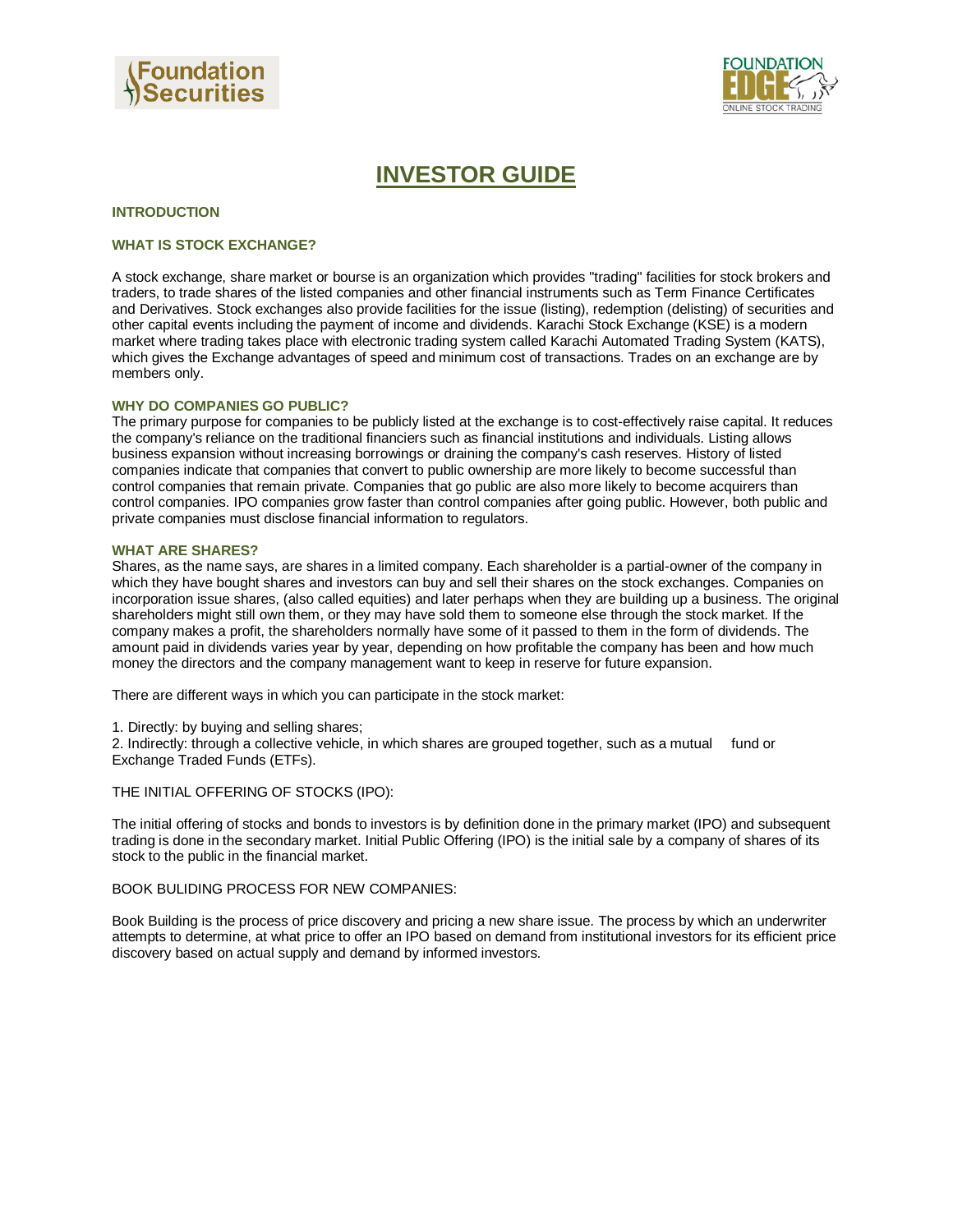



# **INVESTOR GUIDE**

#### **INTRODUCTION**

## **WHAT IS STOCK EXCHANGE?**

A stock exchange, share market or bourse is an organization which provides "trading" facilities for stock brokers and traders, to trade shares of the listed companies and other financial instruments such as Term Finance Certificates and Derivatives. Stock exchanges also provide facilities for the issue (listing), redemption (delisting) of securities and other capital events including the payment of income and dividends. Karachi Stock Exchange (KSE) is a modern market where trading takes place with electronic trading system called Karachi Automated Trading System (KATS), which gives the Exchange advantages of speed and minimum cost of transactions. Trades on an exchange are by members only.

#### **WHY DO COMPANIES GO PUBLIC?**

The primary purpose for companies to be publicly listed at the exchange is to cost-effectively raise capital. It reduces the company's reliance on the traditional financiers such as financial institutions and individuals. Listing allows business expansion without increasing borrowings or draining the company's cash reserves. History of listed companies indicate that companies that convert to public ownership are more likely to become successful than control companies that remain private. Companies that go public are also more likely to become acquirers than control companies. IPO companies grow faster than control companies after going public. However, both public and private companies must disclose financial information to regulators.

#### **WHAT ARE SHARES?**

Shares, as the name says, are shares in a limited company. Each shareholder is a partial-owner of the company in which they have bought shares and investors can buy and sell their shares on the stock exchanges. Companies on incorporation issue shares, (also called equities) and later perhaps when they are building up a business. The original shareholders might still own them, or they may have sold them to someone else through the stock market. If the company makes a profit, the shareholders normally have some of it passed to them in the form of dividends. The amount paid in dividends varies year by year, depending on how profitable the company has been and how much money the directors and the company management want to keep in reserve for future expansion.

There are different ways in which you can participate in the stock market:

1. Directly: by buying and selling shares;

2. Indirectly: through a collective vehicle, in which shares are grouped together, such as a mutual fund or Exchange Traded Funds (ETFs).

THE INITIAL OFFERING OF STOCKS (IPO):

The initial offering of stocks and bonds to investors is by definition done in the primary market (IPO) and subsequent trading is done in the secondary market. Initial Public Offering (IPO) is the initial sale by a company of shares of its stock to the public in the financial market.

#### BOOK BULIDING PROCESS FOR NEW COMPANIES:

Book Building is the process of price discovery and pricing a new share issue. The process by which an underwriter attempts to determine, at what price to offer an IPO based on demand from institutional investors for its efficient price discovery based on actual supply and demand by informed investors.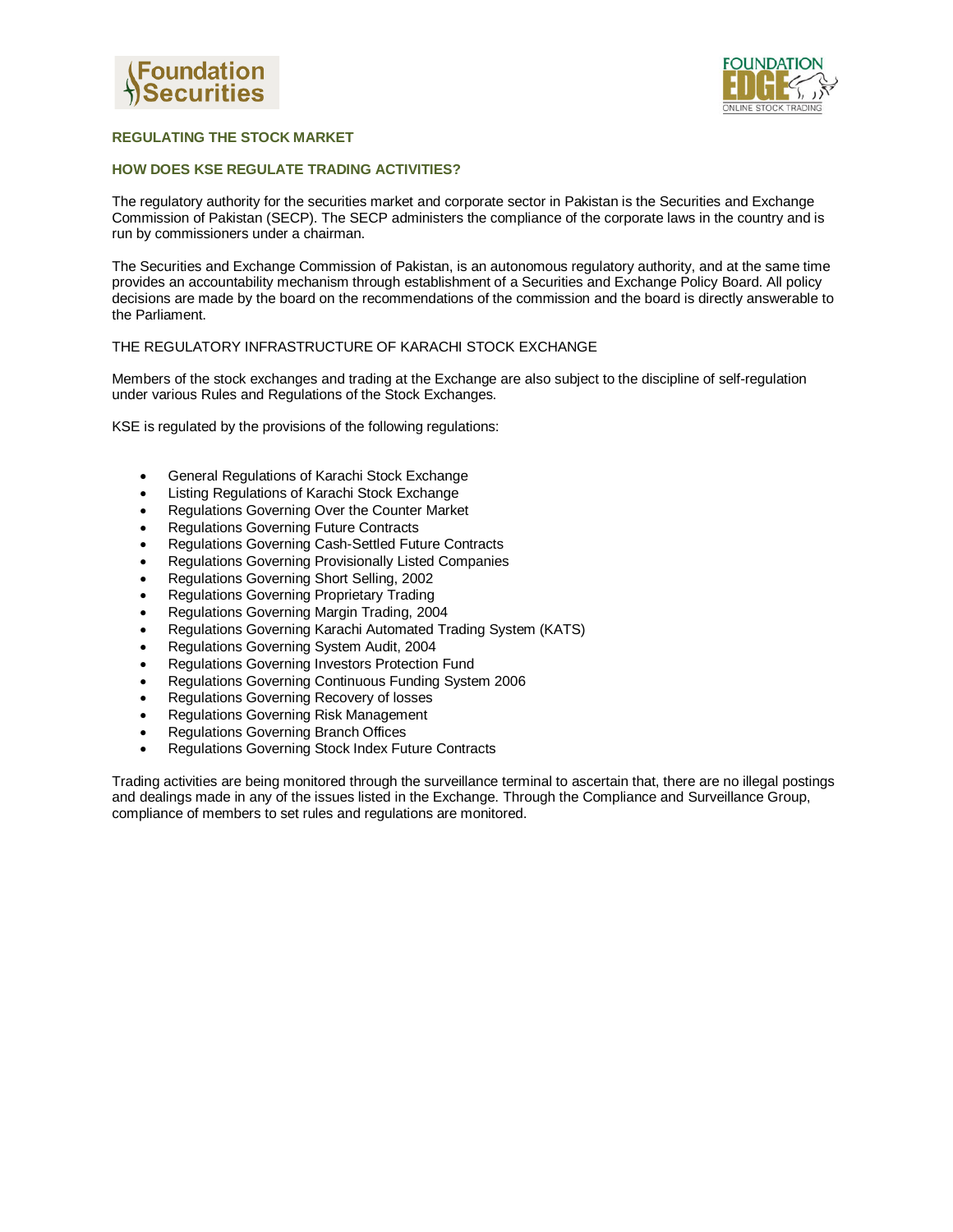



# **REGULATING THE STOCK MARKET**

## **HOW DOES KSE REGULATE TRADING ACTIVITIES?**

The regulatory authority for the securities market and corporate sector in Pakistan is the Securities and Exchange Commission of Pakistan (SECP). The SECP administers the compliance of the corporate laws in the country and is run by commissioners under a chairman.

The Securities and Exchange Commission of Pakistan, is an autonomous regulatory authority, and at the same time provides an accountability mechanism through establishment of a Securities and Exchange Policy Board. All policy decisions are made by the board on the recommendations of the commission and the board is directly answerable to the Parliament.

## THE REGULATORY INFRASTRUCTURE OF KARACHI STOCK EXCHANGE

Members of the stock exchanges and trading at the Exchange are also subject to the discipline of self-regulation under various Rules and Regulations of the Stock Exchanges.

KSE is regulated by the provisions of the following regulations:

- General Regulations of Karachi Stock Exchange
- Listing Regulations of Karachi Stock Exchange
- Regulations Governing Over the Counter Market
- Regulations Governing Future Contracts
- Regulations Governing Cash-Settled Future Contracts
- Regulations Governing Provisionally Listed Companies
- Regulations Governing Short Selling, 2002
- **•** Regulations Governing Proprietary Trading
- Regulations Governing Margin Trading, 2004
- Regulations Governing Karachi Automated Trading System (KATS)
- Regulations Governing System Audit, 2004
- Regulations Governing Investors Protection Fund
- Regulations Governing Continuous Funding System 2006
- Regulations Governing Recovery of losses
- Regulations Governing Risk Management
- Regulations Governing Branch Offices
- Regulations Governing Stock Index Future Contracts

Trading activities are being monitored through the surveillance terminal to ascertain that, there are no illegal postings and dealings made in any of the issues listed in the Exchange. Through the Compliance and Surveillance Group, compliance of members to set rules and regulations are monitored.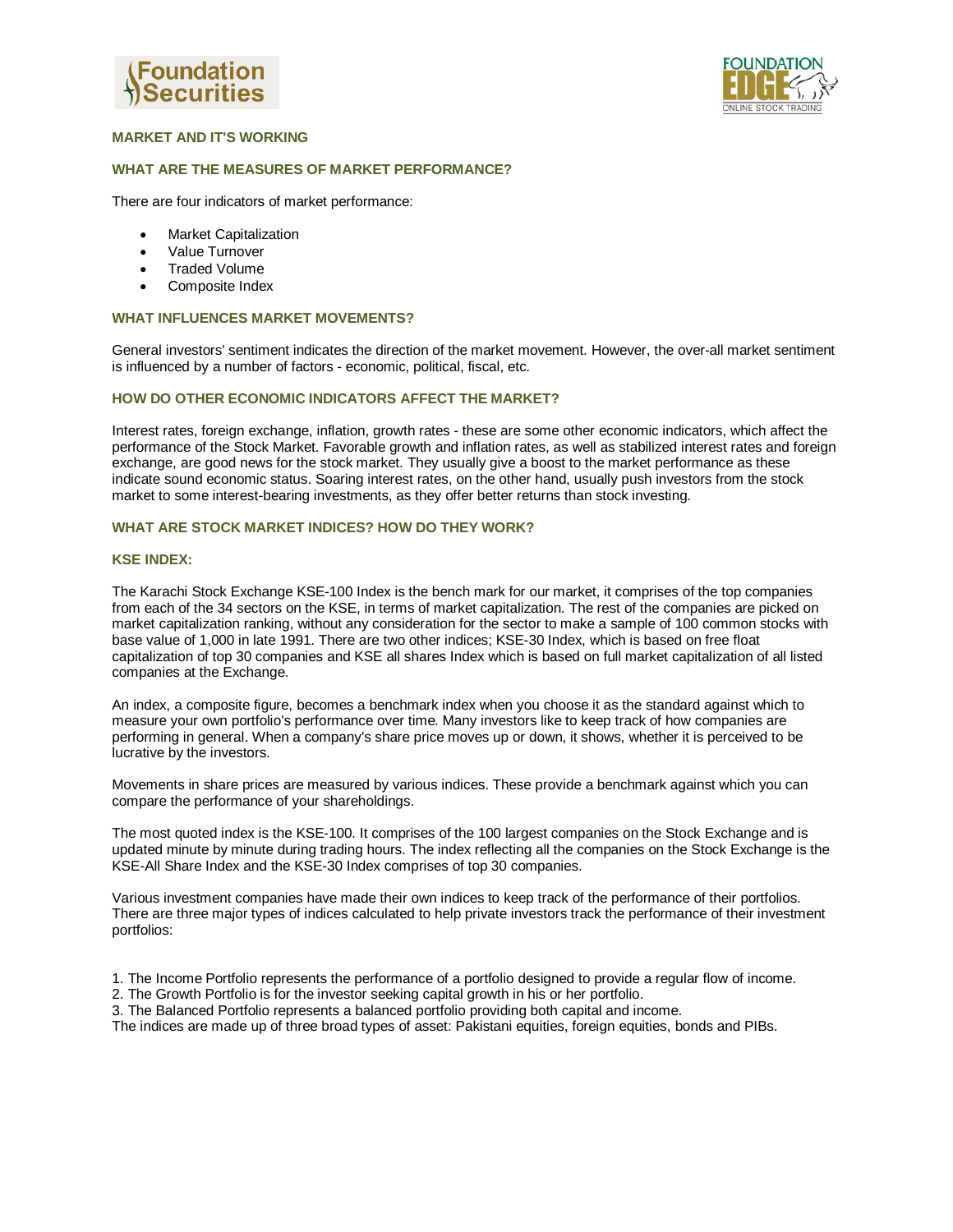



# **MARKET AND IT'S WORKING**

## **WHAT ARE THE MEASURES OF MARKET PERFORMANCE?**

There are four indicators of market performance:

- Market Capitalization
- Value Turnover
- Traded Volume
- Composite Index

#### **WHAT INFLUENCES MARKET MOVEMENTS?**

General investors' sentiment indicates the direction of the market movement. However, the over-all market sentiment is influenced by a number of factors - economic, political, fiscal, etc.

## **HOW DO OTHER ECONOMIC INDICATORS AFFECT THE MARKET?**

Interest rates, foreign exchange, inflation, growth rates - these are some other economic indicators, which affect the performance of the Stock Market. Favorable growth and inflation rates, as well as stabilized interest rates and foreign exchange, are good news for the stock market. They usually give a boost to the market performance as these indicate sound economic status. Soaring interest rates, on the other hand, usually push investors from the stock market to some interest-bearing investments, as they offer better returns than stock investing.

#### **WHAT ARE STOCK MARKET INDICES? HOW DO THEY WORK?**

#### **KSE INDEX:**

The Karachi Stock Exchange KSE-100 Index is the bench mark for our market, it comprises of the top companies from each of the 34 sectors on the KSE, in terms of market capitalization. The rest of the companies are picked on market capitalization ranking, without any consideration for the sector to make a sample of 100 common stocks with base value of 1,000 in late 1991. There are two other indices; KSE-30 Index, which is based on free float capitalization of top 30 companies and KSE all shares Index which is based on full market capitalization of all listed companies at the Exchange.

An index, a composite figure, becomes a benchmark index when you choose it as the standard against which to measure your own portfolio's performance over time. Many investors like to keep track of how companies are performing in general. When a company's share price moves up or down, it shows, whether it is perceived to be lucrative by the investors.

Movements in share prices are measured by various indices. These provide a benchmark against which you can compare the performance of your shareholdings.

The most quoted index is the KSE-100. It comprises of the 100 largest companies on the Stock Exchange and is updated minute by minute during trading hours. The index reflecting all the companies on the Stock Exchange is the KSE-All Share Index and the KSE-30 Index comprises of top 30 companies.

Various investment companies have made their own indices to keep track of the performance of their portfolios. There are three major types of indices calculated to help private investors track the performance of their investment portfolios:

- 1. The Income Portfolio represents the performance of a portfolio designed to provide a regular flow of income.
- 2. The Growth Portfolio is for the investor seeking capital growth in his or her portfolio.
- 3. The Balanced Portfolio represents a balanced portfolio providing both capital and income.

The indices are made up of three broad types of asset: Pakistani equities, foreign equities, bonds and PIBs.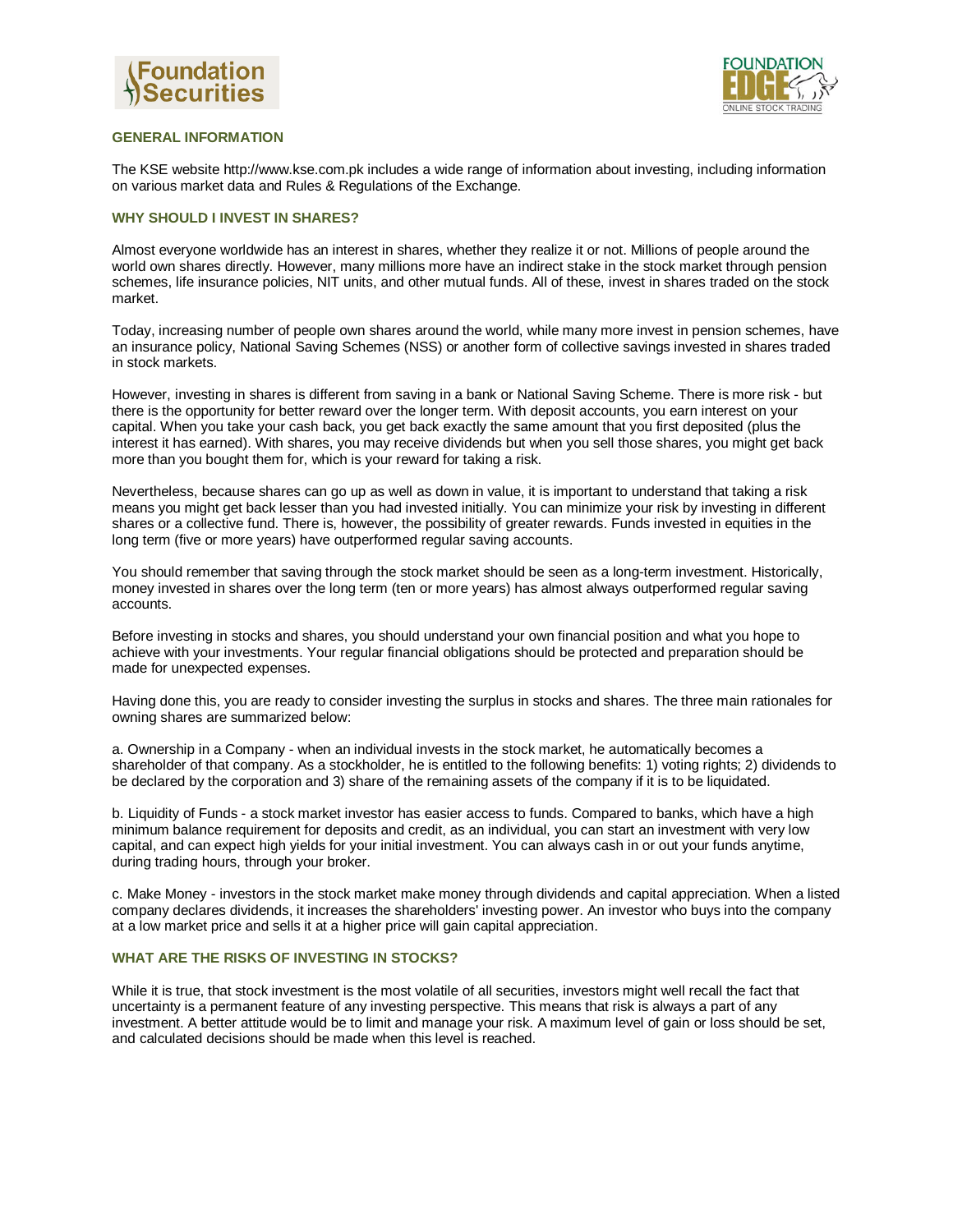



## **GENERAL INFORMATION**

The KSE website http://www.kse.com.pk includes a wide range of information about investing, including information on various market data and Rules & Regulations of the Exchange.

#### **WHY SHOULD I INVEST IN SHARES?**

Almost everyone worldwide has an interest in shares, whether they realize it or not. Millions of people around the world own shares directly. However, many millions more have an indirect stake in the stock market through pension schemes, life insurance policies, NIT units, and other mutual funds. All of these, invest in shares traded on the stock market.

Today, increasing number of people own shares around the world, while many more invest in pension schemes, have an insurance policy, National Saving Schemes (NSS) or another form of collective savings invested in shares traded in stock markets.

However, investing in shares is different from saving in a bank or National Saving Scheme. There is more risk - but there is the opportunity for better reward over the longer term. With deposit accounts, you earn interest on your capital. When you take your cash back, you get back exactly the same amount that you first deposited (plus the interest it has earned). With shares, you may receive dividends but when you sell those shares, you might get back more than you bought them for, which is your reward for taking a risk.

Nevertheless, because shares can go up as well as down in value, it is important to understand that taking a risk means you might get back lesser than you had invested initially. You can minimize your risk by investing in different shares or a collective fund. There is, however, the possibility of greater rewards. Funds invested in equities in the long term (five or more years) have outperformed regular saving accounts.

You should remember that saving through the stock market should be seen as a long-term investment. Historically, money invested in shares over the long term (ten or more years) has almost always outperformed regular saving accounts.

Before investing in stocks and shares, you should understand your own financial position and what you hope to achieve with your investments. Your regular financial obligations should be protected and preparation should be made for unexpected expenses.

Having done this, you are ready to consider investing the surplus in stocks and shares. The three main rationales for owning shares are summarized below:

a. Ownership in a Company - when an individual invests in the stock market, he automatically becomes a shareholder of that company. As a stockholder, he is entitled to the following benefits: 1) voting rights; 2) dividends to be declared by the corporation and 3) share of the remaining assets of the company if it is to be liquidated.

b. Liquidity of Funds - a stock market investor has easier access to funds. Compared to banks, which have a high minimum balance requirement for deposits and credit, as an individual, you can start an investment with very low capital, and can expect high yields for your initial investment. You can always cash in or out your funds anytime, during trading hours, through your broker.

c. Make Money - investors in the stock market make money through dividends and capital appreciation. When a listed company declares dividends, it increases the shareholders' investing power. An investor who buys into the company at a low market price and sells it at a higher price will gain capital appreciation.

# **WHAT ARE THE RISKS OF INVESTING IN STOCKS?**

While it is true, that stock investment is the most volatile of all securities, investors might well recall the fact that uncertainty is a permanent feature of any investing perspective. This means that risk is always a part of any investment. A better attitude would be to limit and manage your risk. A maximum level of gain or loss should be set, and calculated decisions should be made when this level is reached.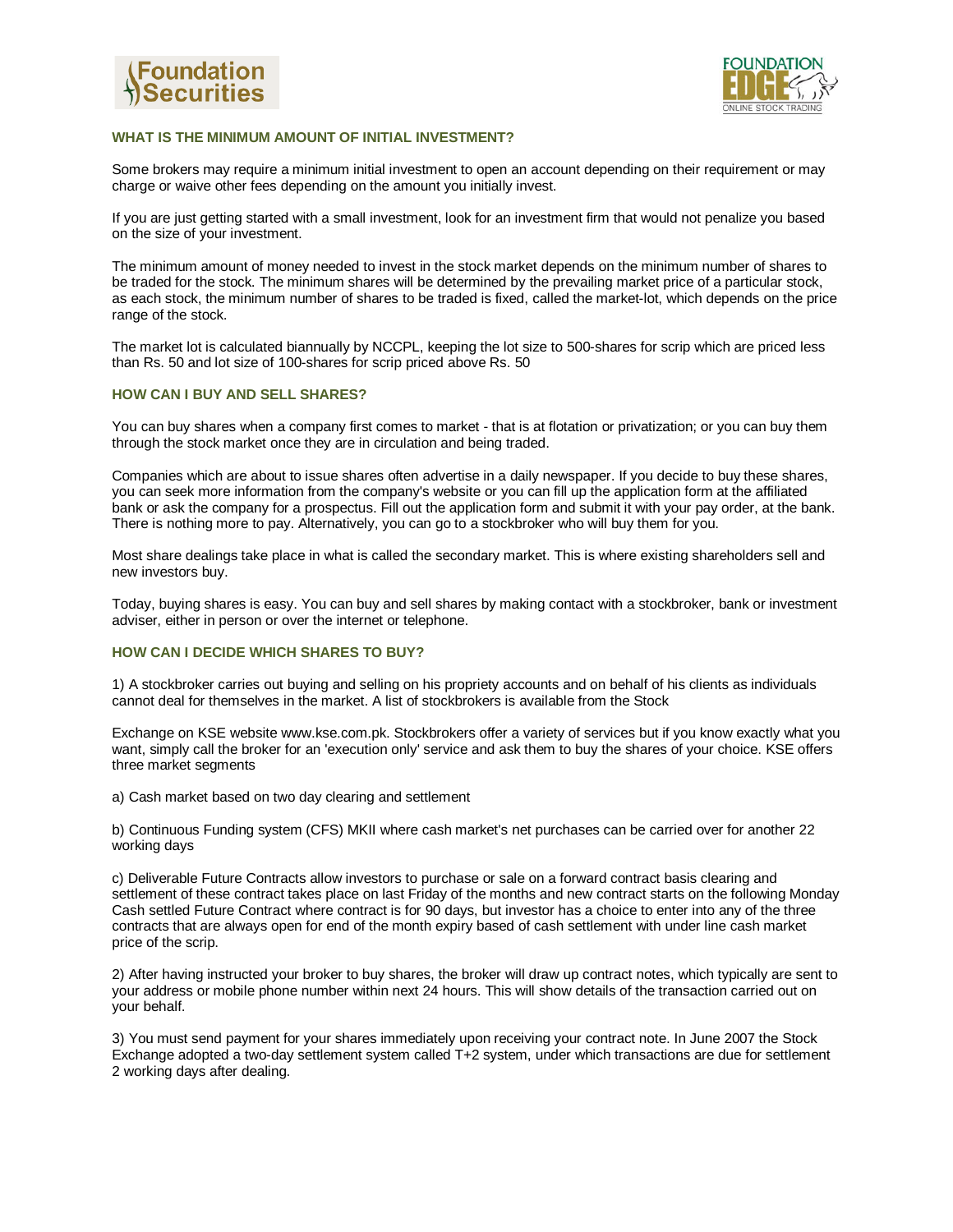



## **WHAT IS THE MINIMUM AMOUNT OF INITIAL INVESTMENT?**

Some brokers may require a minimum initial investment to open an account depending on their requirement or may charge or waive other fees depending on the amount you initially invest.

If you are just getting started with a small investment, look for an investment firm that would not penalize you based on the size of your investment.

The minimum amount of money needed to invest in the stock market depends on the minimum number of shares to be traded for the stock. The minimum shares will be determined by the prevailing market price of a particular stock, as each stock, the minimum number of shares to be traded is fixed, called the market-lot, which depends on the price range of the stock.

The market lot is calculated biannually by NCCPL, keeping the lot size to 500-shares for scrip which are priced less than Rs. 50 and lot size of 100-shares for scrip priced above Rs. 50

## **HOW CAN I BUY AND SELL SHARES?**

You can buy shares when a company first comes to market - that is at flotation or privatization; or you can buy them through the stock market once they are in circulation and being traded.

Companies which are about to issue shares often advertise in a daily newspaper. If you decide to buy these shares, you can seek more information from the company's website or you can fill up the application form at the affiliated bank or ask the company for a prospectus. Fill out the application form and submit it with your pay order, at the bank. There is nothing more to pay. Alternatively, you can go to a stockbroker who will buy them for you.

Most share dealings take place in what is called the secondary market. This is where existing shareholders sell and new investors buy.

Today, buying shares is easy. You can buy and sell shares by making contact with a stockbroker, bank or investment adviser, either in person or over the internet or telephone.

#### **HOW CAN I DECIDE WHICH SHARES TO BUY?**

1) A stockbroker carries out buying and selling on his propriety accounts and on behalf of his clients as individuals cannot deal for themselves in the market. A list of stockbrokers is available from the Stock

Exchange on KSE website www.kse.com.pk. Stockbrokers offer a variety of services but if you know exactly what you want, simply call the broker for an 'execution only' service and ask them to buy the shares of your choice. KSE offers three market segments

a) Cash market based on two day clearing and settlement

b) Continuous Funding system (CFS) MKII where cash market's net purchases can be carried over for another 22 working days

c) Deliverable Future Contracts allow investors to purchase or sale on a forward contract basis clearing and settlement of these contract takes place on last Friday of the months and new contract starts on the following Monday Cash settled Future Contract where contract is for 90 days, but investor has a choice to enter into any of the three contracts that are always open for end of the month expiry based of cash settlement with under line cash market price of the scrip.

2) After having instructed your broker to buy shares, the broker will draw up contract notes, which typically are sent to your address or mobile phone number within next 24 hours. This will show details of the transaction carried out on your behalf.

3) You must send payment for your shares immediately upon receiving your contract note. In June 2007 the Stock Exchange adopted a two-day settlement system called T+2 system, under which transactions are due for settlement 2 working days after dealing.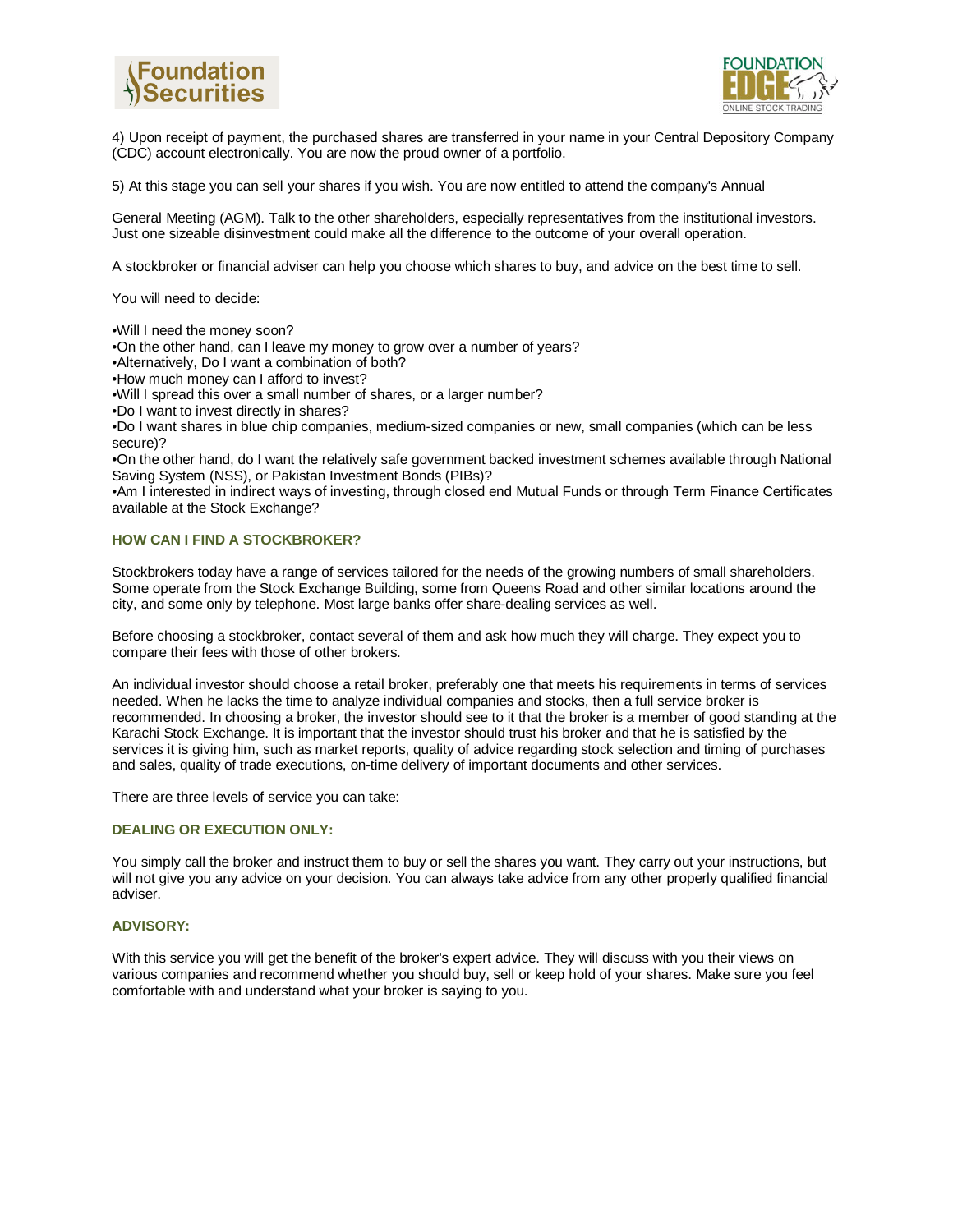



4) Upon receipt of payment, the purchased shares are transferred in your name in your Central Depository Company (CDC) account electronically. You are now the proud owner of a portfolio.

5) At this stage you can sell your shares if you wish. You are now entitled to attend the company's Annual

General Meeting (AGM). Talk to the other shareholders, especially representatives from the institutional investors. Just one sizeable disinvestment could make all the difference to the outcome of your overall operation.

A stockbroker or financial adviser can help you choose which shares to buy, and advice on the best time to sell.

You will need to decide:

•Will I need the money soon?

•On the other hand, can I leave my money to grow over a number of years?

•Alternatively, Do I want a combination of both?

•How much money can I afford to invest?

•Will I spread this over a small number of shares, or a larger number?

•Do I want to invest directly in shares?

•Do I want shares in blue chip companies, medium-sized companies or new, small companies (which can be less secure)?

•On the other hand, do I want the relatively safe government backed investment schemes available through National Saving System (NSS), or Pakistan Investment Bonds (PIBs)?

•Am I interested in indirect ways of investing, through closed end Mutual Funds or through Term Finance Certificates available at the Stock Exchange?

## **HOW CAN I FIND A STOCKBROKER?**

Stockbrokers today have a range of services tailored for the needs of the growing numbers of small shareholders. Some operate from the Stock Exchange Building, some from Queens Road and other similar locations around the city, and some only by telephone. Most large banks offer share-dealing services as well.

Before choosing a stockbroker, contact several of them and ask how much they will charge. They expect you to compare their fees with those of other brokers.

An individual investor should choose a retail broker, preferably one that meets his requirements in terms of services needed. When he lacks the time to analyze individual companies and stocks, then a full service broker is recommended. In choosing a broker, the investor should see to it that the broker is a member of good standing at the Karachi Stock Exchange. It is important that the investor should trust his broker and that he is satisfied by the services it is giving him, such as market reports, quality of advice regarding stock selection and timing of purchases and sales, quality of trade executions, on-time delivery of important documents and other services.

There are three levels of service you can take:

## **DEALING OR EXECUTION ONLY:**

You simply call the broker and instruct them to buy or sell the shares you want. They carry out your instructions, but will not give you any advice on your decision. You can always take advice from any other properly qualified financial adviser.

## **ADVISORY:**

With this service you will get the benefit of the broker's expert advice. They will discuss with you their views on various companies and recommend whether you should buy, sell or keep hold of your shares. Make sure you feel comfortable with and understand what your broker is saying to you.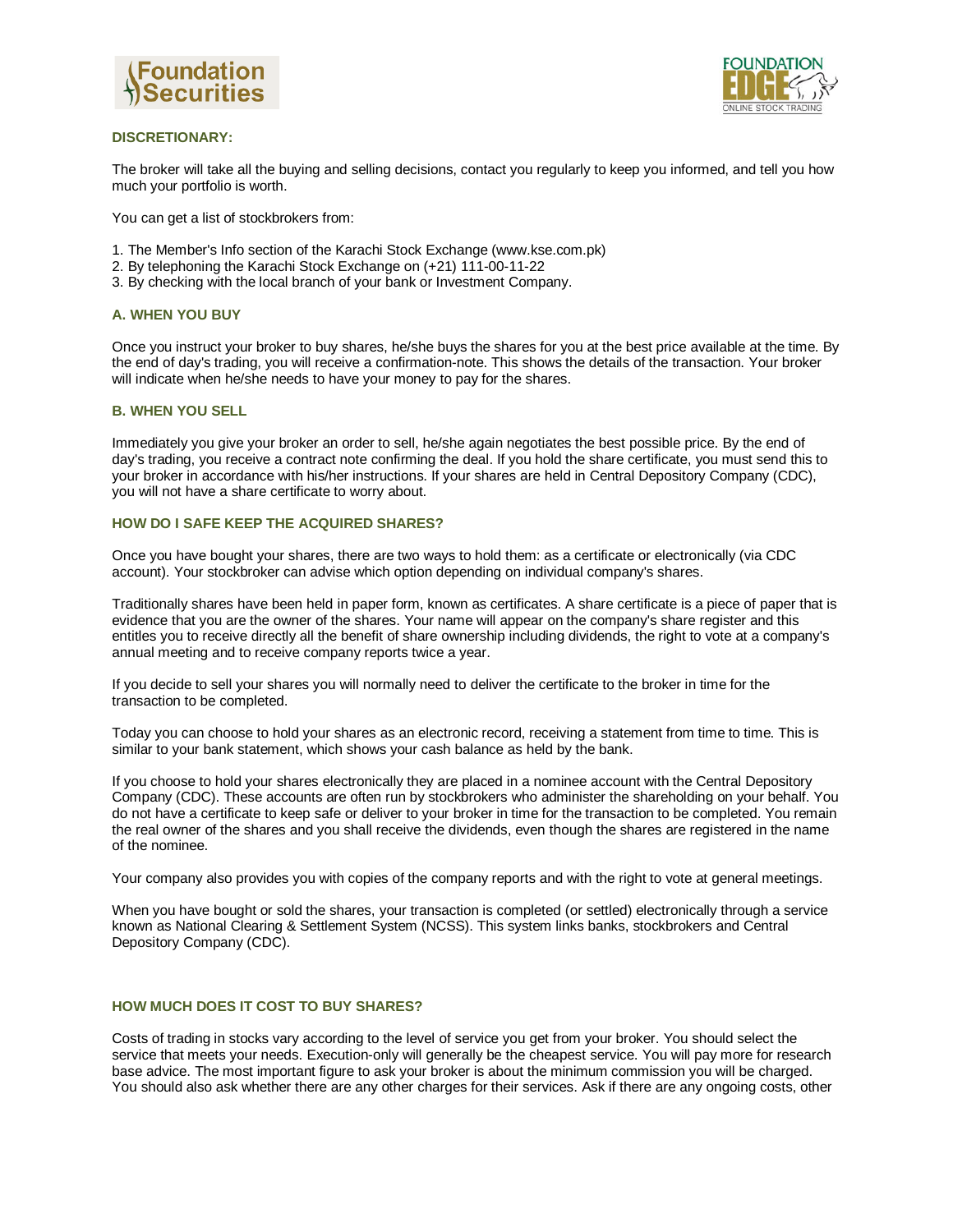



## **DISCRETIONARY:**

The broker will take all the buying and selling decisions, contact you regularly to keep you informed, and tell you how much your portfolio is worth.

You can get a list of stockbrokers from:

- 1. The Member's Info section of the Karachi Stock Exchange (www.kse.com.pk)
- 2. By telephoning the Karachi Stock Exchange on (+21) 111-00-11-22
- 3. By checking with the local branch of your bank or Investment Company.

#### **A. WHEN YOU BUY**

Once you instruct your broker to buy shares, he/she buys the shares for you at the best price available at the time. By the end of day's trading, you will receive a confirmation-note. This shows the details of the transaction. Your broker will indicate when he/she needs to have your money to pay for the shares.

#### **B. WHEN YOU SELL**

Immediately you give your broker an order to sell, he/she again negotiates the best possible price. By the end of day's trading, you receive a contract note confirming the deal. If you hold the share certificate, you must send this to your broker in accordance with his/her instructions. If your shares are held in Central Depository Company (CDC), you will not have a share certificate to worry about.

## **HOW DO I SAFE KEEP THE ACQUIRED SHARES?**

Once you have bought your shares, there are two ways to hold them: as a certificate or electronically (via CDC account). Your stockbroker can advise which option depending on individual company's shares.

Traditionally shares have been held in paper form, known as certificates. A share certificate is a piece of paper that is evidence that you are the owner of the shares. Your name will appear on the company's share register and this entitles you to receive directly all the benefit of share ownership including dividends, the right to vote at a company's annual meeting and to receive company reports twice a year.

If you decide to sell your shares you will normally need to deliver the certificate to the broker in time for the transaction to be completed.

Today you can choose to hold your shares as an electronic record, receiving a statement from time to time. This is similar to your bank statement, which shows your cash balance as held by the bank.

If you choose to hold your shares electronically they are placed in a nominee account with the Central Depository Company (CDC). These accounts are often run by stockbrokers who administer the shareholding on your behalf. You do not have a certificate to keep safe or deliver to your broker in time for the transaction to be completed. You remain the real owner of the shares and you shall receive the dividends, even though the shares are registered in the name of the nominee.

Your company also provides you with copies of the company reports and with the right to vote at general meetings.

When you have bought or sold the shares, your transaction is completed (or settled) electronically through a service known as National Clearing & Settlement System (NCSS). This system links banks, stockbrokers and Central Depository Company (CDC).

## **HOW MUCH DOES IT COST TO BUY SHARES?**

Costs of trading in stocks vary according to the level of service you get from your broker. You should select the service that meets your needs. Execution-only will generally be the cheapest service. You will pay more for research base advice. The most important figure to ask your broker is about the minimum commission you will be charged. You should also ask whether there are any other charges for their services. Ask if there are any ongoing costs, other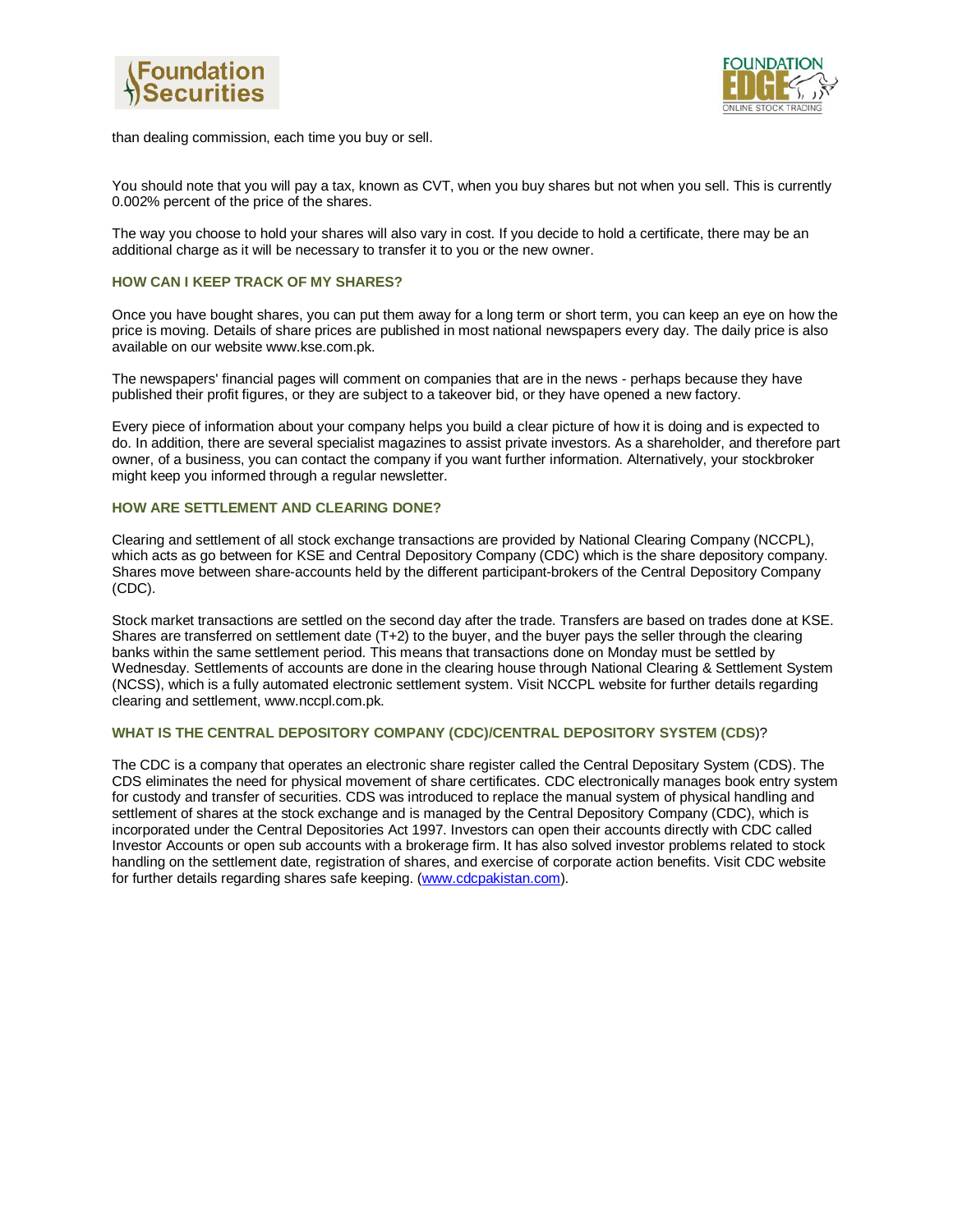



than dealing commission, each time you buy or sell.

You should note that you will pay a tax, known as CVT, when you buy shares but not when you sell. This is currently 0.002% percent of the price of the shares.

The way you choose to hold your shares will also vary in cost. If you decide to hold a certificate, there may be an additional charge as it will be necessary to transfer it to you or the new owner.

## **HOW CAN I KEEP TRACK OF MY SHARES?**

Once you have bought shares, you can put them away for a long term or short term, you can keep an eye on how the price is moving. Details of share prices are published in most national newspapers every day. The daily price is also available on our website www.kse.com.pk.

The newspapers' financial pages will comment on companies that are in the news - perhaps because they have published their profit figures, or they are subject to a takeover bid, or they have opened a new factory.

Every piece of information about your company helps you build a clear picture of how it is doing and is expected to do. In addition, there are several specialist magazines to assist private investors. As a shareholder, and therefore part owner, of a business, you can contact the company if you want further information. Alternatively, your stockbroker might keep you informed through a regular newsletter.

## **HOW ARE SETTLEMENT AND CLEARING DONE?**

Clearing and settlement of all stock exchange transactions are provided by National Clearing Company (NCCPL), which acts as go between for KSE and Central Depository Company (CDC) which is the share depository company. Shares move between share-accounts held by the different participant-brokers of the Central Depository Company (CDC).

Stock market transactions are settled on the second day after the trade. Transfers are based on trades done at KSE. Shares are transferred on settlement date (T+2) to the buyer, and the buyer pays the seller through the clearing banks within the same settlement period. This means that transactions done on Monday must be settled by Wednesday. Settlements of accounts are done in the clearing house through National Clearing & Settlement System (NCSS), which is a fully automated electronic settlement system. Visit NCCPL website for further details regarding clearing and settlement, www.nccpl.com.pk.

#### **WHAT IS THE CENTRAL DEPOSITORY COMPANY (CDC)/CENTRAL DEPOSITORY SYSTEM (CDS**)?

The CDC is a company that operates an electronic share register called the Central Depositary System (CDS). The CDS eliminates the need for physical movement of share certificates. CDC electronically manages book entry system for custody and transfer of securities. CDS was introduced to replace the manual system of physical handling and settlement of shares at the stock exchange and is managed by the Central Depository Company (CDC), which is incorporated under the Central Depositories Act 1997. Investors can open their accounts directly with CDC called Investor Accounts or open sub accounts with a brokerage firm. It has also solved investor problems related to stock handling on the settlement date, registration of shares, and exercise of corporate action benefits. Visit CDC website for further details regarding shares safe keeping. (www.cdcpakistan.com).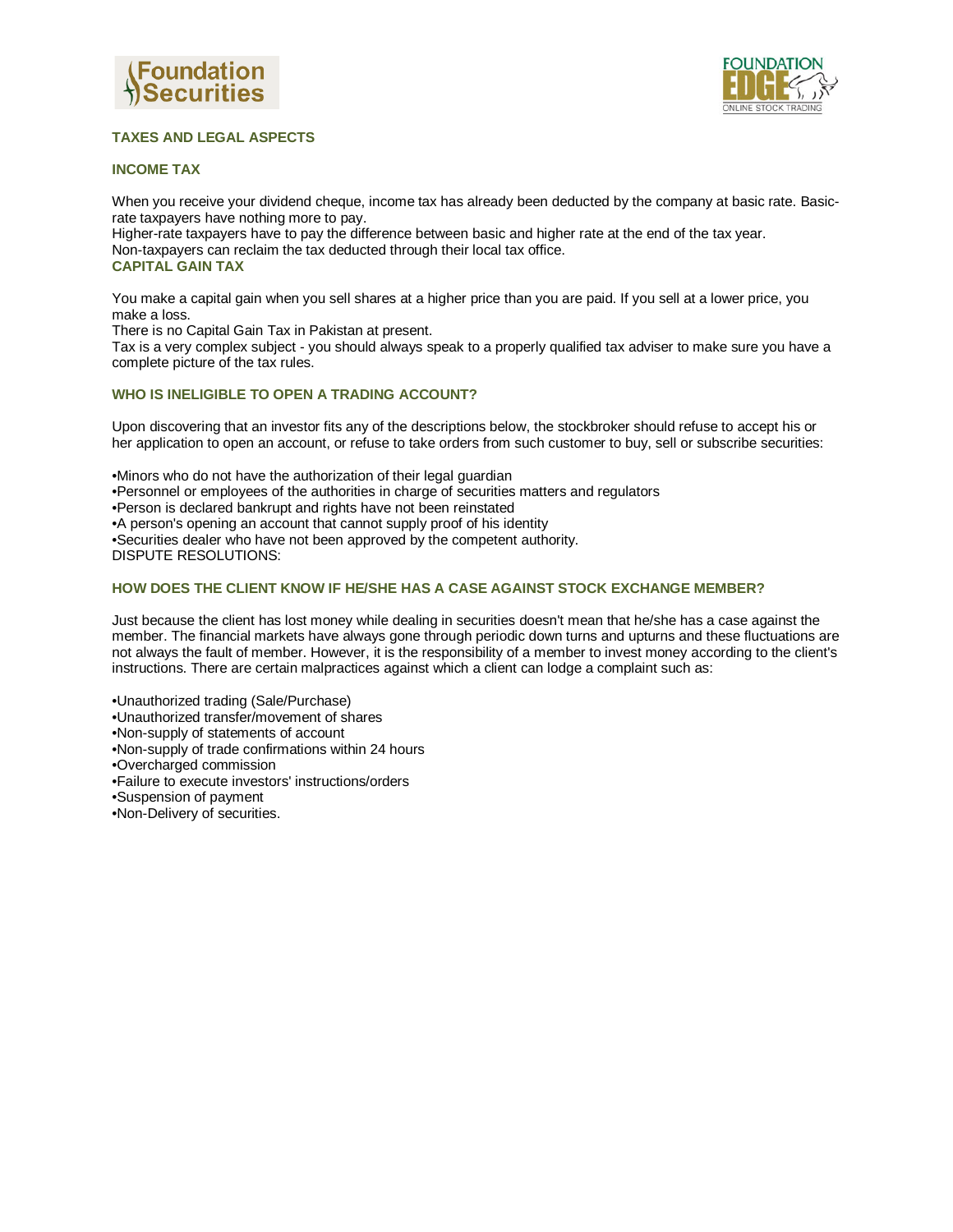



# **TAXES AND LEGAL ASPECTS**

## **INCOME TAX**

When you receive your dividend cheque, income tax has already been deducted by the company at basic rate. Basicrate taxpayers have nothing more to pay.

Higher-rate taxpayers have to pay the difference between basic and higher rate at the end of the tax year. Non-taxpayers can reclaim the tax deducted through their local tax office. **CAPITAL GAIN TAX**

You make a capital gain when you sell shares at a higher price than you are paid. If you sell at a lower price, you make a loss.

There is no Capital Gain Tax in Pakistan at present.

Tax is a very complex subject - you should always speak to a properly qualified tax adviser to make sure you have a complete picture of the tax rules.

# **WHO IS INELIGIBLE TO OPEN A TRADING ACCOUNT?**

Upon discovering that an investor fits any of the descriptions below, the stockbroker should refuse to accept his or her application to open an account, or refuse to take orders from such customer to buy, sell or subscribe securities:

•Minors who do not have the authorization of their legal guardian •Personnel or employees of the authorities in charge of securities matters and regulators •Person is declared bankrupt and rights have not been reinstated •A person's opening an account that cannot supply proof of his identity •Securities dealer who have not been approved by the competent authority. DISPUTE RESOLUTIONS:

## **HOW DOES THE CLIENT KNOW IF HE/SHE HAS A CASE AGAINST STOCK EXCHANGE MEMBER?**

Just because the client has lost money while dealing in securities doesn't mean that he/she has a case against the member. The financial markets have always gone through periodic down turns and upturns and these fluctuations are not always the fault of member. However, it is the responsibility of a member to invest money according to the client's instructions. There are certain malpractices against which a client can lodge a complaint such as:

•Unauthorized trading (Sale/Purchase) •Unauthorized transfer/movement of shares •Non-supply of statements of account •Non-supply of trade confirmations within 24 hours •Overcharged commission •Failure to execute investors' instructions/orders •Suspension of payment

•Non-Delivery of securities.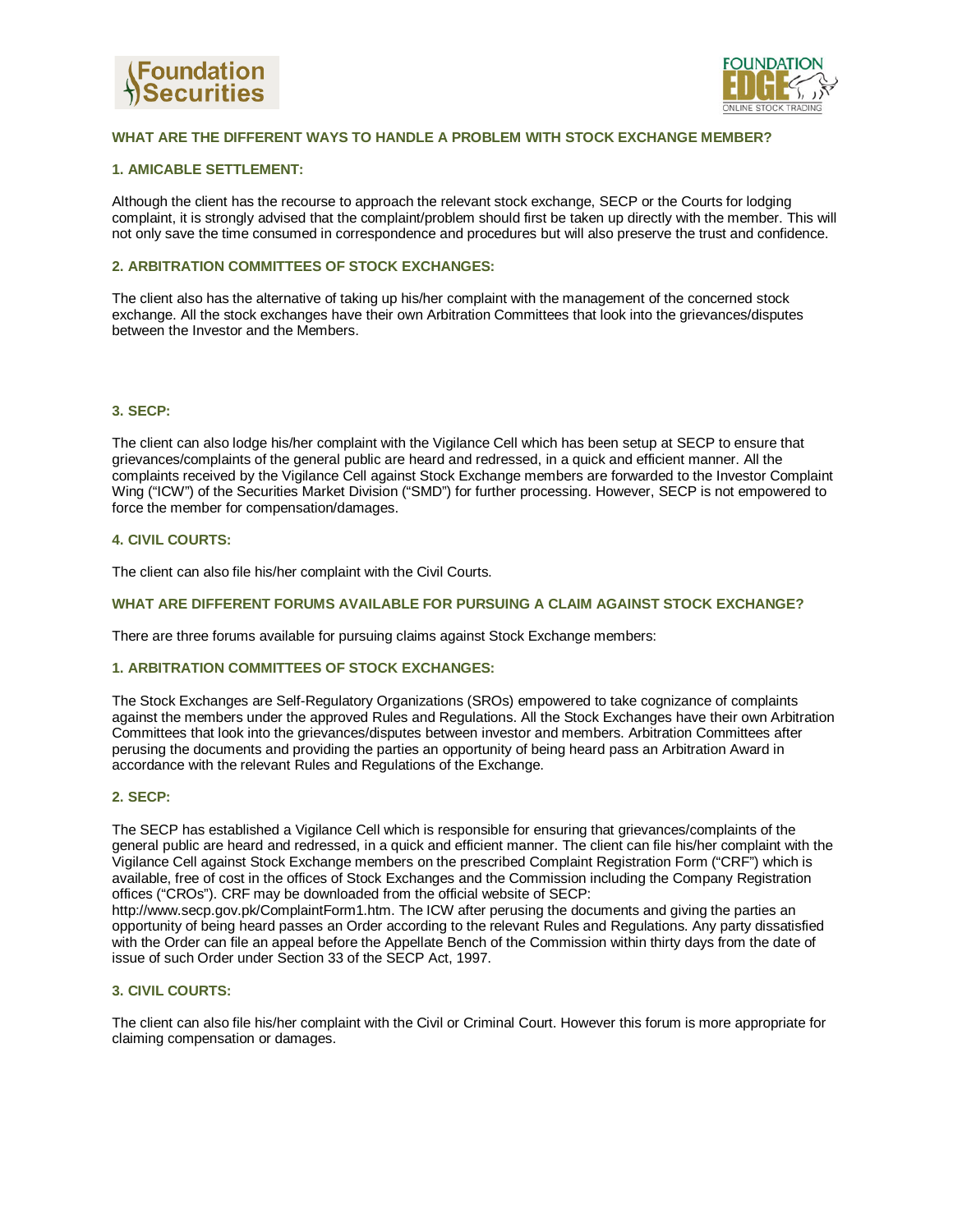



# **WHAT ARE THE DIFFERENT WAYS TO HANDLE A PROBLEM WITH STOCK EXCHANGE MEMBER?**

## **1. AMICABLE SETTLEMENT:**

Although the client has the recourse to approach the relevant stock exchange, SECP or the Courts for lodging complaint, it is strongly advised that the complaint/problem should first be taken up directly with the member. This will not only save the time consumed in correspondence and procedures but will also preserve the trust and confidence.

## **2. ARBITRATION COMMITTEES OF STOCK EXCHANGES:**

The client also has the alternative of taking up his/her complaint with the management of the concerned stock exchange. All the stock exchanges have their own Arbitration Committees that look into the grievances/disputes between the Investor and the Members.

#### **3. SECP:**

The client can also lodge his/her complaint with the Vigilance Cell which has been setup at SECP to ensure that grievances/complaints of the general public are heard and redressed, in a quick and efficient manner. All the complaints received by the Vigilance Cell against Stock Exchange members are forwarded to the Investor Complaint Wing ("ICW") of the Securities Market Division ("SMD") for further processing. However, SECP is not empowered to force the member for compensation/damages.

## **4. CIVIL COURTS:**

The client can also file his/her complaint with the Civil Courts.

#### **WHAT ARE DIFFERENT FORUMS AVAILABLE FOR PURSUING A CLAIM AGAINST STOCK EXCHANGE?**

There are three forums available for pursuing claims against Stock Exchange members:

#### **1. ARBITRATION COMMITTEES OF STOCK EXCHANGES:**

The Stock Exchanges are Self-Regulatory Organizations (SROs) empowered to take cognizance of complaints against the members under the approved Rules and Regulations. All the Stock Exchanges have their own Arbitration Committees that look into the grievances/disputes between investor and members. Arbitration Committees after perusing the documents and providing the parties an opportunity of being heard pass an Arbitration Award in accordance with the relevant Rules and Regulations of the Exchange.

## **2. SECP:**

The SECP has established a Vigilance Cell which is responsible for ensuring that grievances/complaints of the general public are heard and redressed, in a quick and efficient manner. The client can file his/her complaint with the Vigilance Cell against Stock Exchange members on the prescribed Complaint Registration Form ("CRF") which is available, free of cost in the offices of Stock Exchanges and the Commission including the Company Registration offices ("CROs"). CRF may be downloaded from the official website of SECP:

http://www.secp.gov.pk/ComplaintForm1.htm. The ICW after perusing the documents and giving the parties an opportunity of being heard passes an Order according to the relevant Rules and Regulations. Any party dissatisfied with the Order can file an appeal before the Appellate Bench of the Commission within thirty days from the date of issue of such Order under Section 33 of the SECP Act, 1997.

## **3. CIVIL COURTS:**

The client can also file his/her complaint with the Civil or Criminal Court. However this forum is more appropriate for claiming compensation or damages.